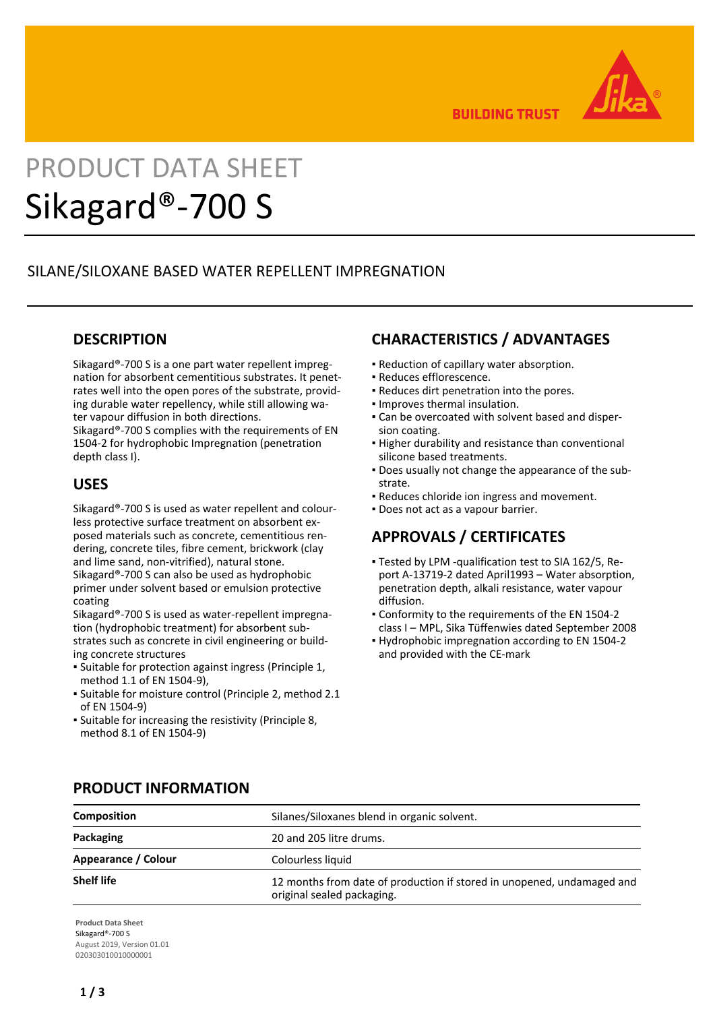

**BUILDING TRUST** 

# PRODUCT DATA SHEET Sikagard®-700 S

## SILANE/SILOXANE BASED WATER REPELLENT IMPREGNATION

## **DESCRIPTION**

Sikagard®-700 S is a one part water repellent impregnation for absorbent cementitious substrates. It penetrates well into the open pores of the substrate, providing durable water repellency, while still allowing water vapour diffusion in both directions. Sikagard®-700 S complies with the requirements of EN

1504-2 for hydrophobic Impregnation (penetration depth class I).

## **USES**

Sikagard®-700 S is used as water repellent and colourless protective surface treatment on absorbent exposed materials such as concrete, cementitious rendering, concrete tiles, fibre cement, brickwork (clay and lime sand, non-vitrified), natural stone. Sikagard®-700 S can also be used as hydrophobic primer under solvent based or emulsion protective coating

Sikagard®-700 S is used as water-repellent impregnation (hydrophobic treatment) for absorbent substrates such as concrete in civil engineering or building concrete structures

- Suitable for protection against ingress (Principle 1, method 1.1 of EN 1504-9),
- Suitable for moisture control (Principle 2, method 2.1 of EN 1504-9)
- **.** Suitable for increasing the resistivity (Principle 8, method 8.1 of EN 1504-9)

## **CHARACTERISTICS / ADVANTAGES**

- Reduction of capillary water absorption.
- Reduces efflorescence.
- Reduces dirt penetration into the pores.
- Improves thermal insulation.
- Can be overcoated with solvent based and disper-▪ sion coating.
- **.** Higher durability and resistance than conventional silicone based treatments.
- Does usually not change the appearance of the sub-▪ strate.
- Reduces chloride ion ingress and movement.
- Does not act as a vapour barrier.

# **APPROVALS / CERTIFICATES**

- Tested by LPM -qualification test to SIA 162/5, Re-▪ port A-13719-2 dated April1993 – Water absorption, penetration depth, alkali resistance, water vapour diffusion.
- Conformity to the requirements of the EN 1504-2 class I – MPL, Sika Tüffenwies dated September 2008
- **Hydrophobic impregnation according to EN 1504-2** and provided with the CE-mark

| <b>Composition</b>  | Silanes/Siloxanes blend in organic solvent.                                                          |
|---------------------|------------------------------------------------------------------------------------------------------|
| Packaging           | 20 and 205 litre drums.                                                                              |
| Appearance / Colour | Colourless liquid                                                                                    |
| <b>Shelf life</b>   | 12 months from date of production if stored in unopened, undamaged and<br>original sealed packaging. |

## **PRODUCT INFORMATION**

**Product Data Sheet** Sikagard®-700 S August 2019, Version 01.01 020303010010000001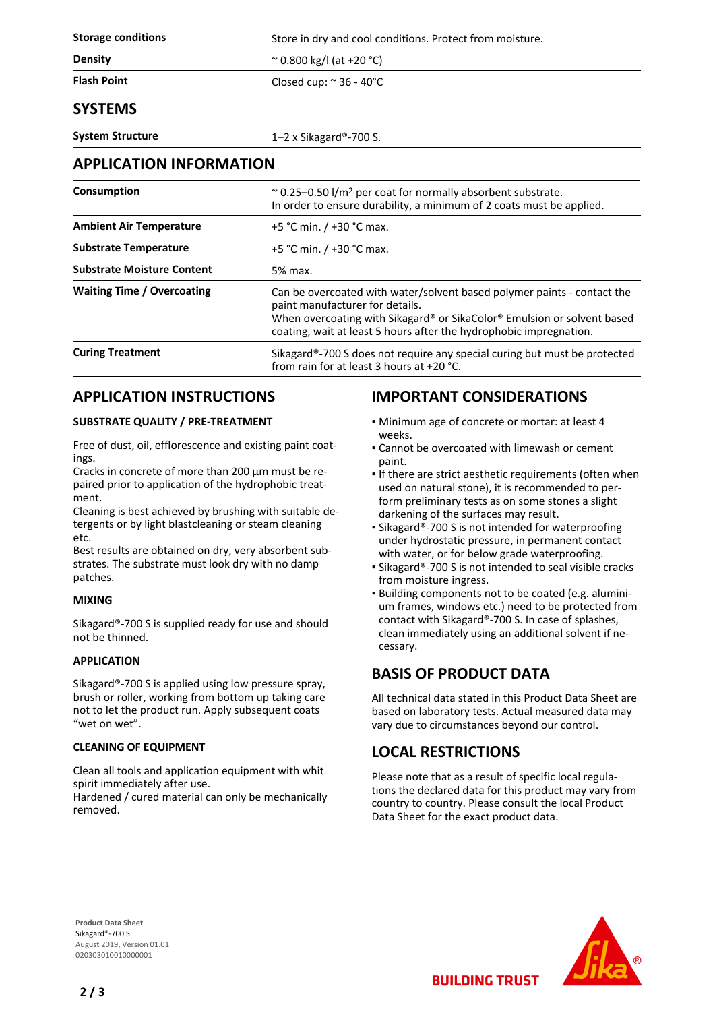| <b>Storage conditions</b> | Store in dry and cool conditions. Protect from moisture. |
|---------------------------|----------------------------------------------------------|
| <b>Density</b>            | $\approx$ 0.800 kg/l (at +20 °C)                         |
| <b>Flash Point</b>        | Closed cup: $\approx$ 36 - 40 $\degree$ C                |
| <b>SYSTEMS</b>            |                                                          |

**System Structure** 1–2 x Sikagard®-700 S.

### **APPLICATION INFORMATION**

| Consumption                       | $\approx$ 0.25–0.50 l/m <sup>2</sup> per coat for normally absorbent substrate.<br>In order to ensure durability, a minimum of 2 coats must be applied.                                                                                                     |
|-----------------------------------|-------------------------------------------------------------------------------------------------------------------------------------------------------------------------------------------------------------------------------------------------------------|
| <b>Ambient Air Temperature</b>    | +5 °C min. / +30 °C max.                                                                                                                                                                                                                                    |
| <b>Substrate Temperature</b>      | +5 °C min. $/$ +30 °C max.                                                                                                                                                                                                                                  |
| <b>Substrate Moisture Content</b> | 5% max.                                                                                                                                                                                                                                                     |
| <b>Waiting Time / Overcoating</b> | Can be overcoated with water/solvent based polymer paints - contact the<br>paint manufacturer for details.<br>When overcoating with Sikagard® or SikaColor® Emulsion or solvent based<br>coating, wait at least 5 hours after the hydrophobic impregnation. |
| <b>Curing Treatment</b>           | Sikagard®-700 S does not require any special curing but must be protected<br>from rain for at least 3 hours at $+20$ °C.                                                                                                                                    |

## **APPLICATION INSTRUCTIONS**

#### **SUBSTRATE QUALITY / PRE-TREATMENT**

Free of dust, oil, efflorescence and existing paint coatings.

Cracks in concrete of more than 200 μm must be repaired prior to application of the hydrophobic treatment.

Cleaning is best achieved by brushing with suitable detergents or by light blastcleaning or steam cleaning etc.

Best results are obtained on dry, very absorbent substrates. The substrate must look dry with no damp patches.

#### **MIXING**

Sikagard®-700 S is supplied ready for use and should not be thinned.

#### **APPLICATION**

Sikagard®-700 S is applied using low pressure spray, brush or roller, working from bottom up taking care not to let the product run. Apply subsequent coats "wet on wet".

#### **CLEANING OF EQUIPMENT**

Clean all tools and application equipment with whit spirit immediately after use.

Hardened / cured material can only be mechanically removed.

## **IMPORTANT CONSIDERATIONS**

- **Minimum age of concrete or mortar: at least 4** weeks.
- Cannot be overcoated with limewash or cement paint.
- **.** If there are strict aesthetic requirements (often when used on natural stone), it is recommended to perform preliminary tests as on some stones a slight darkening of the surfaces may result.
- Sikagard®-700 S is not intended for waterproofing under hydrostatic pressure, in permanent contact with water, or for below grade waterproofing.
- Sikagard®-700 S is not intended to seal visible cracks from moisture ingress.
- Building components not to be coated (e.g. alumini-▪ um frames, windows etc.) need to be protected from contact with Sikagard®-700 S. In case of splashes, clean immediately using an additional solvent if necessary.

## **BASIS OF PRODUCT DATA**

All technical data stated in this Product Data Sheet are based on laboratory tests. Actual measured data may vary due to circumstances beyond our control.

## **LOCAL RESTRICTIONS**

Please note that as a result of specific local regulations the declared data for this product may vary from country to country. Please consult the local Product Data Sheet for the exact product data.

**BUILDING TRUST** 

**Product Data Sheet** Sikagard®-700 S August 2019, Version 01.01 020303010010000001